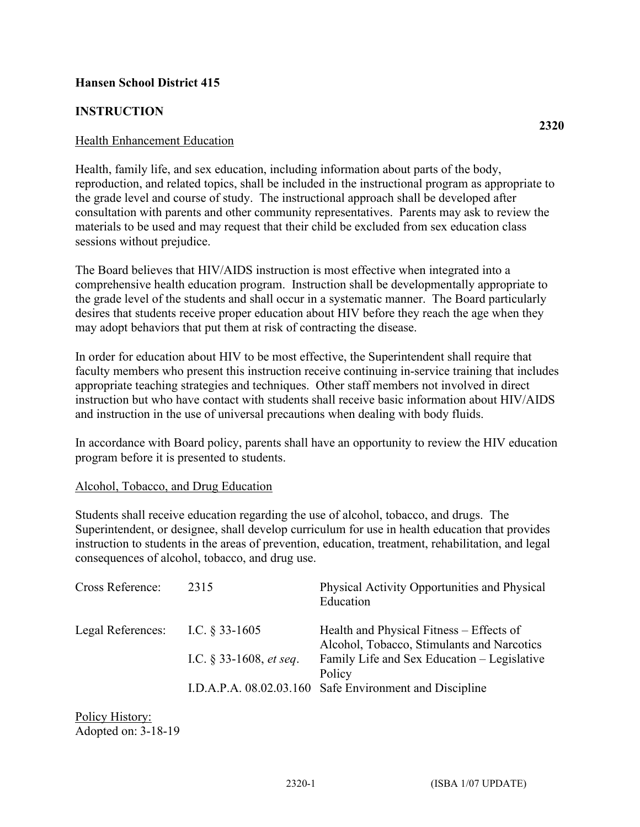## **Hansen School District 415**

## **INSTRUCTION**

Health, family life, and sex education, including information about parts of the body, reproduction, and related topics, shall be included in the instructional program as appropriate to the grade level and course of study. The instructional approach shall be developed after consultation with parents and other community representatives. Parents may ask to review the materials to be used and may request that their child be excluded from sex education class sessions without prejudice.

The Board believes that HIV/AIDS instruction is most effective when integrated into a comprehensive health education program. Instruction shall be developmentally appropriate to the grade level of the students and shall occur in a systematic manner. The Board particularly desires that students receive proper education about HIV before they reach the age when they may adopt behaviors that put them at risk of contracting the disease.

In order for education about HIV to be most effective, the Superintendent shall require that faculty members who present this instruction receive continuing in-service training that includes appropriate teaching strategies and techniques. Other staff members not involved in direct instruction but who have contact with students shall receive basic information about HIV/AIDS and instruction in the use of universal precautions when dealing with body fluids.

In accordance with Board policy, parents shall have an opportunity to review the HIV education program before it is presented to students.

## Alcohol, Tobacco, and Drug Education

Students shall receive education regarding the use of alcohol, tobacco, and drugs. The Superintendent, or designee, shall develop curriculum for use in health education that provides instruction to students in the areas of prevention, education, treatment, rehabilitation, and legal consequences of alcohol, tobacco, and drug use.

| Cross Reference:  | 2315                              | Physical Activity Opportunities and Physical<br>Education                              |
|-------------------|-----------------------------------|----------------------------------------------------------------------------------------|
| Legal References: | I.C. $\S$ 33-1605                 | Health and Physical Fitness – Effects of<br>Alcohol, Tobacco, Stimulants and Narcotics |
|                   | I.C. $\S$ 33-1608, <i>et seq.</i> | Family Life and Sex Education - Legislative<br>Policy                                  |
|                   | I.D.A.P.A. 08.02.03.160           | Safe Environment and Discipline                                                        |

Policy History: Adopted on: 3-18-19